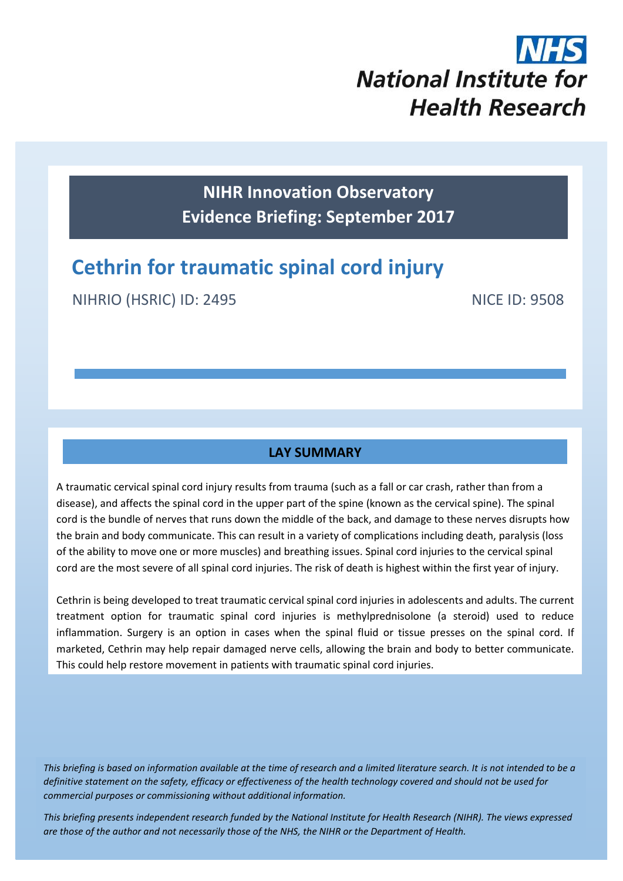# **National Institute for Health Research**

**NIHR Innovation Observatory Evidence Briefing: September 2017**

# **Cethrin for traumatic spinal cord injury**

NIHRIO (HSRIC) ID: 2495 NICE ID: 9508

# **LAY SUMMARY**

A traumatic cervical spinal cord injury results from trauma (such as a fall or car crash, rather than from a disease), and affects the spinal cord in the upper part of the spine (known as the cervical spine). The spinal cord is the bundle of nerves that runs down the middle of the back, and damage to these nerves disrupts how the brain and body communicate. This can result in a variety of complications including death, paralysis (loss of the ability to move one or more muscles) and breathing issues. Spinal cord injuries to the cervical spinal cord are the most severe of all spinal cord injuries. The risk of death is highest within the first year of injury.

Cethrin is being developed to treat traumatic cervical spinal cord injuries in adolescents and adults. The current treatment option for traumatic spinal cord injuries is methylprednisolone (a steroid) used to reduce inflammation. Surgery is an option in cases when the spinal fluid or tissue presses on the spinal cord. If marketed, Cethrin may help repair damaged nerve cells, allowing the brain and body to better communicate. This could help restore movement in patients with traumatic spinal cord injuries.

*This briefing is based on information available at the time of research and a limited literature search. It is not intended to be a definitive statement on the safety, efficacy or effectiveness of the health technology covered and should not be used for commercial purposes or commissioning without additional information.*

1 *This briefing presents independent research funded by the National Institute for Health Research (NIHR). The views expressed are those of the author and not necessarily those of the NHS, the NIHR or the Department of Health.*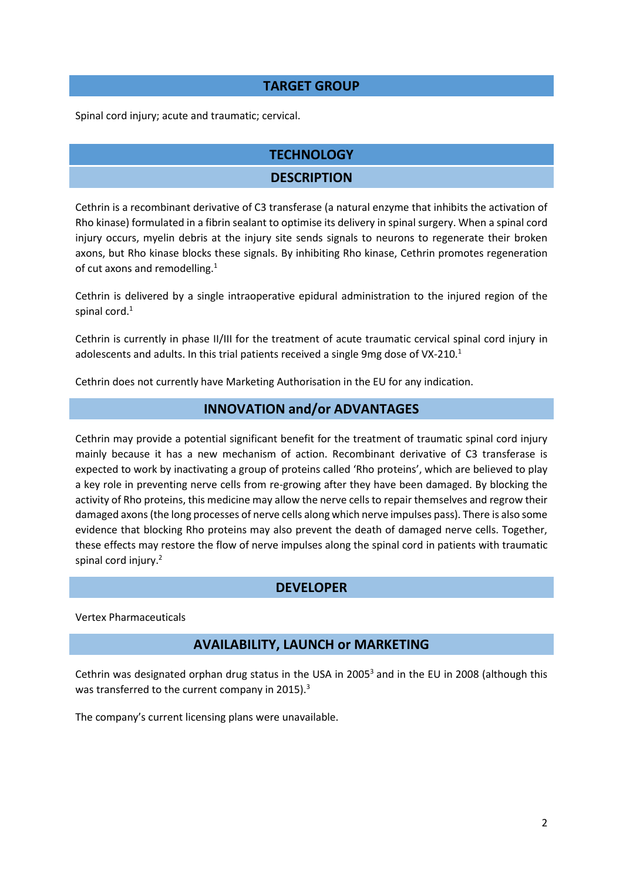### **TARGET GROUP**

Spinal cord injury; acute and traumatic; cervical.

# **TECHNOLOGY**

### **DESCRIPTION**

Cethrin is a recombinant derivative of C3 transferase (a natural enzyme that inhibits the activation of Rho kinase) formulated in a fibrin sealant to optimise its delivery in spinal surgery. When a spinal cord injury occurs, myelin debris at the injury site sends signals to neurons to regenerate their broken axons, but Rho kinase blocks these signals. By inhibiting Rho kinase, Cethrin promotes regeneration of cut axons and remodelling.<sup>1</sup>

Cethrin is delivered by a single intraoperative epidural administration to the injured region of the spinal cord. 1

Cethrin is currently in phase II/III for the treatment of acute traumatic cervical spinal cord injury in adolescents and adults. In this trial patients received a single 9mg dose of VX-210.<sup>1</sup>

Cethrin does not currently have Marketing Authorisation in the EU for any indication.

# **INNOVATION and/or ADVANTAGES**

Cethrin may provide a potential significant benefit for the treatment of traumatic spinal cord injury mainly because it has a new mechanism of action. Recombinant derivative of C3 transferase is expected to work by inactivating a group of proteins called 'Rho proteins', which are believed to play a key role in preventing nerve cells from re-growing after they have been damaged. By blocking the activity of Rho proteins, this medicine may allow the nerve cells to repair themselves and regrow their damaged axons (the long processes of nerve cells along which nerve impulses pass). There is also some evidence that blocking Rho proteins may also prevent the death of damaged nerve cells. Together, these effects may restore the flow of nerve impulses along the spinal cord in patients with traumatic spinal cord injury.<sup>2</sup>

### **DEVELOPER**

Vertex Pharmaceuticals

### **AVAILABILITY, LAUNCH or MARKETING**

Cethrin was designated orphan drug status in the USA in 2005<sup>3</sup> and in the EU in 2008 (although this was transferred to the current company in 2015).<sup>3</sup>

The company's current licensing plans were unavailable.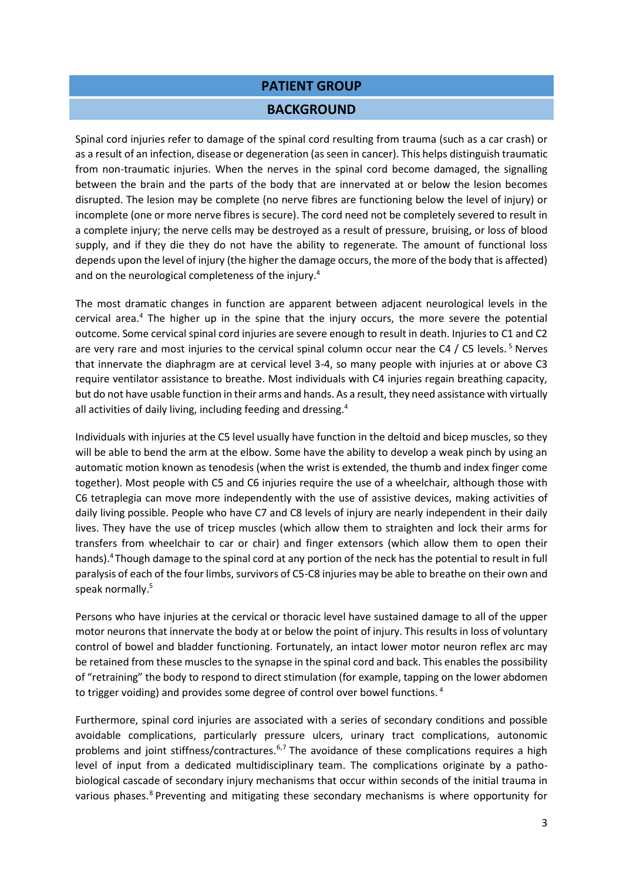#### **PATIENT GROUP**

#### **BACKGROUND**

Spinal cord injuries refer to damage of the spinal cord resulting from trauma (such as a car crash) or as a result of an infection, disease or degeneration (as seen in cancer). This helps distinguish traumatic from non-traumatic injuries. When the nerves in the spinal cord become damaged, the signalling between the brain and the parts of the body that are innervated at or below the lesion becomes disrupted. The lesion may be complete (no nerve fibres are functioning below the level of injury) or incomplete (one or more nerve fibres is secure). The cord need not be completely severed to result in a complete injury; the nerve cells may be destroyed as a result of pressure, bruising, or loss of blood supply, and if they die they do not have the ability to regenerate. The amount of functional loss depends upon the level of injury (the higher the damage occurs, the more of the body that is affected) and on the neurological completeness of the injury.<sup>4</sup>

The most dramatic changes in function are apparent between adjacent neurological levels in the cervical area. $4$  The higher up in the spine that the injury occurs, the more severe the potential outcome. Some cervical spinal cord injuries are severe enough to result in death. Injuries to C1 and C2 are very rare and most injuries to the cervical spinal column occur near the C4 / C5 levels.<sup>5</sup> Nerves that innervate the diaphragm are at cervical level 3-4, so many people with injuries at or above C3 require ventilator assistance to breathe. Most individuals with C4 injuries regain breathing capacity, but do not have usable function in their arms and hands. As a result, they need assistance with virtually all activities of daily living, including feeding and dressing.<sup>4</sup>

Individuals with injuries at the C5 level usually have function in the deltoid and bicep muscles, so they will be able to bend the arm at the elbow. Some have the ability to develop a weak pinch by using an automatic motion known as tenodesis (when the wrist is extended, the thumb and index finger come together). Most people with C5 and C6 injuries require the use of a wheelchair, although those with C6 tetraplegia can move more independently with the use of assistive devices, making activities of daily living possible. People who have C7 and C8 levels of injury are nearly independent in their daily lives. They have the use of tricep muscles (which allow them to straighten and lock their arms for transfers from wheelchair to car or chair) and finger extensors (which allow them to open their hands).<sup>4</sup>Though damage to the spinal cord at any portion of the neck has the potential to result in full paralysis of each of the four limbs, survivors of C5-C8 injuries may be able to breathe on their own and speak normally.<sup>5</sup>

Persons who have injuries at the cervical or thoracic level have sustained damage to all of the upper motor neurons that innervate the body at or below the point of injury. This results in loss of voluntary control of bowel and bladder functioning. Fortunately, an intact lower motor neuron reflex arc may be retained from these muscles to the synapse in the spinal cord and back. This enables the possibility of "retraining" the body to respond to direct stimulation (for example, tapping on the lower abdomen to trigger voiding) and provides some degree of control over bowel functions.<sup>4</sup>

Furthermore, spinal cord injuries are associated with a series of secondary conditions and possible avoidable complications, particularly pressure ulcers, urinary tract complications, autonomic problems and joint stiffness/contractures.<sup>6,7</sup> The avoidance of these complications requires a high level of input from a dedicated multidisciplinary team. The complications originate by a pathobiological cascade of secondary injury mechanisms that occur within seconds of the initial trauma in various phases.<sup>8</sup> Preventing and mitigating these secondary mechanisms is where opportunity for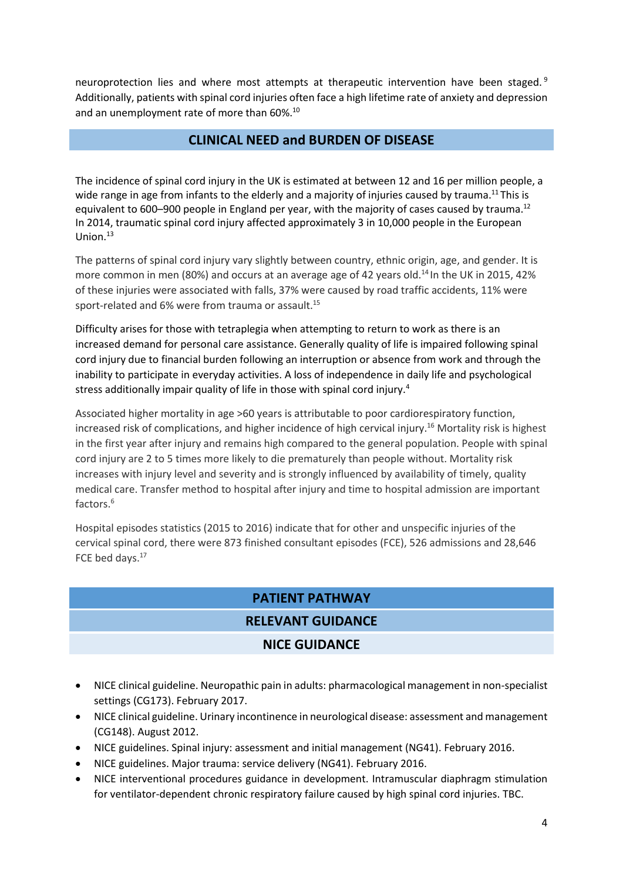neuroprotection lies and where most attempts at therapeutic intervention have been staged.<sup>9</sup> Additionally, patients with spinal cord injuries often face a high lifetime rate of anxiety and depression and an unemployment rate of more than 60%.<sup>10</sup>

# **CLINICAL NEED and BURDEN OF DISEASE**

The incidence of spinal cord injury in the UK is estimated at between 12 and 16 per million people, a wide range in age from infants to the elderly and a majority of injuries caused by trauma.<sup>11</sup> This is equivalent to 600–900 people in England per year, with the majority of cases caused by trauma.<sup>12</sup> In 2014, traumatic spinal cord injury affected approximately 3 in 10,000 people in the European Union.<sup>13</sup>

The patterns of spinal cord injury vary slightly between country, ethnic origin, age, and gender. It is more common in men (80%) and occurs at an average age of 42 years old.<sup>14</sup> In the UK in 2015, 42% of these injuries were associated with falls, 37% were caused by road traffic accidents, 11% were sport-related and 6% were from trauma or assault.<sup>15</sup>

Difficulty arises for those with tetraplegia when attempting to return to work as there is an increased demand for personal care assistance. Generally quality of life is impaired following spinal cord injury due to financial burden following an interruption or absence from work and through the inability to participate in everyday activities. A loss of independence in daily life and psychological stress additionally impair quality of life in those with spinal cord injury.<sup>4</sup>

Associated higher mortality in age >60 years is attributable to poor cardiorespiratory function, increased risk of complications, and higher incidence of high cervical injury.<sup>16</sup> Mortality risk is highest in the first year after injury and remains high compared to the general population. People with spinal cord injury are 2 to 5 times more likely to die prematurely than people without. Mortality risk increases with injury level and severity and is strongly influenced by availability of timely, quality medical care. Transfer method to hospital after injury and time to hospital admission are important factors.<sup>6</sup>

Hospital episodes statistics (2015 to 2016) indicate that for other and unspecific injuries of the cervical spinal cord, there were 873 finished consultant episodes (FCE), 526 admissions and 28,646 FCE bed days. 17

# **PATIENT PATHWAY**

# **RELEVANT GUIDANCE**

# **NICE GUIDANCE**

- NICE clinical guideline. Neuropathic pain in adults: pharmacological management in non-specialist settings (CG173). February 2017.
- NICE clinical guideline. Urinary incontinence in neurological disease: assessment and management (CG148). August 2012.
- NICE guidelines. Spinal injury: assessment and initial management (NG41). February 2016.
- NICE guidelines. Major trauma: service delivery (NG41). February 2016.
- NICE interventional procedures guidance in development. Intramuscular diaphragm stimulation for ventilator-dependent chronic respiratory failure caused by high spinal cord injuries. TBC.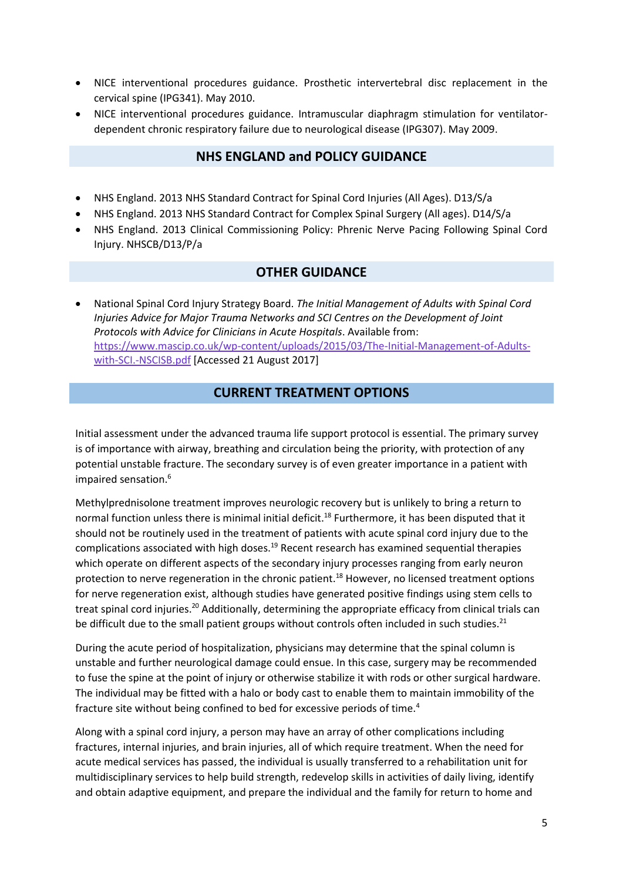- NICE interventional procedures guidance. Prosthetic intervertebral disc replacement in the cervical spine (IPG341). May 2010.
- NICE interventional procedures guidance. Intramuscular diaphragm stimulation for ventilatordependent chronic respiratory failure due to neurological disease (IPG307). May 2009.

### **NHS ENGLAND and POLICY GUIDANCE**

- NHS England. 2013 NHS Standard Contract for Spinal Cord Injuries (All Ages). D13/S/a
- NHS England. 2013 NHS Standard Contract for Complex Spinal Surgery (All ages). D14/S/a
- NHS England. 2013 Clinical Commissioning Policy: Phrenic Nerve Pacing Following Spinal Cord Injury. NHSCB/D13/P/a

#### **OTHER GUIDANCE**

 National Spinal Cord Injury Strategy Board. *The Initial Management of Adults with Spinal Cord Injuries Advice for Major Trauma Networks and SCI Centres on the Development of Joint Protocols with Advice for Clinicians in Acute Hospitals*. Available from: [https://www.mascip.co.uk/wp-content/uploads/2015/03/The-Initial-Management-of-Adults](https://www.mascip.co.uk/wp-content/uploads/2015/03/The-Initial-Management-of-Adults-with-SCI.-NSCISB.pdf)[with-SCI.-NSCISB.pdf](https://www.mascip.co.uk/wp-content/uploads/2015/03/The-Initial-Management-of-Adults-with-SCI.-NSCISB.pdf) [Accessed 21 August 2017]

### **CURRENT TREATMENT OPTIONS**

Initial assessment under the advanced trauma life support protocol is essential. The primary survey is of importance with airway, breathing and circulation being the priority, with protection of any potential unstable fracture. The secondary survey is of even greater importance in a patient with impaired sensation.<sup>6</sup>

Methylprednisolone treatment improves neurologic recovery but is unlikely to bring a return to normal function unless there is minimal initial deficit.<sup>18</sup> Furthermore, it has been disputed that it should not be routinely used in the treatment of patients with acute spinal cord injury due to the complications associated with high doses.<sup>19</sup> Recent research has examined sequential therapies which operate on different aspects of the secondary injury processes ranging from early neuron protection to nerve regeneration in the chronic patient.<sup>18</sup> However, no licensed treatment options for nerve regeneration exist, although studies have generated positive findings using stem cells to treat spinal cord injuries.<sup>20</sup> Additionally, determining the appropriate efficacy from clinical trials can be difficult due to the small patient groups without controls often included in such studies.<sup>21</sup>

During the acute period of hospitalization, physicians may determine that the spinal column is unstable and further neurological damage could ensue. In this case, surgery may be recommended to fuse the spine at the point of injury or otherwise stabilize it with rods or other surgical hardware. The individual may be fitted with a halo or body cast to enable them to maintain immobility of the fracture site without being confined to bed for excessive periods of time.<sup>4</sup>

Along with a spinal cord injury, a person may have an array of other complications including fractures, internal injuries, and brain injuries, all of which require treatment. When the need for acute medical services has passed, the individual is usually transferred to a rehabilitation unit for multidisciplinary services to help build strength, redevelop skills in activities of daily living, identify and obtain adaptive equipment, and prepare the individual and the family for return to home and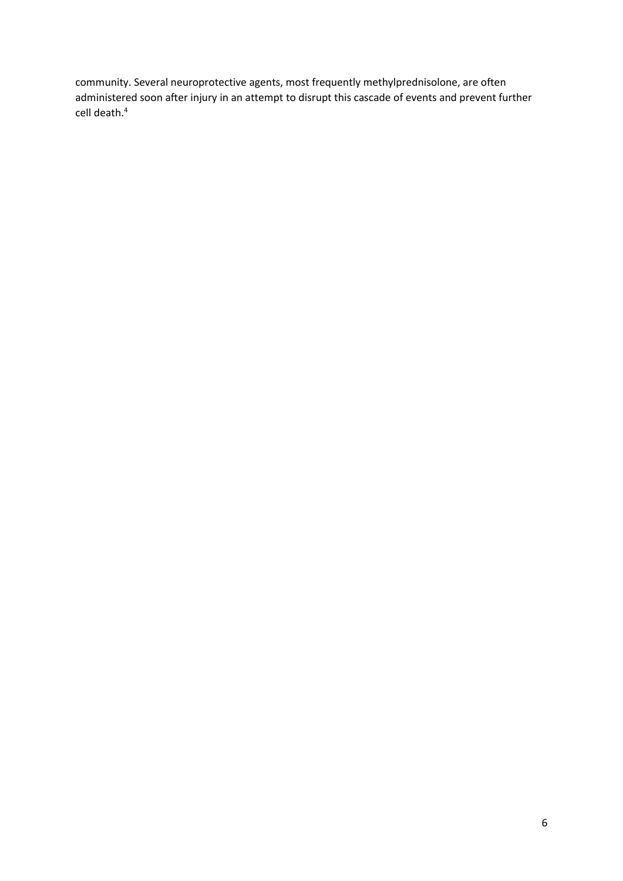community. Several neuroprotective agents, most frequently methylprednisolone, are often administered soon after injury in an attempt to disrupt this cascade of events and prevent further cell death.4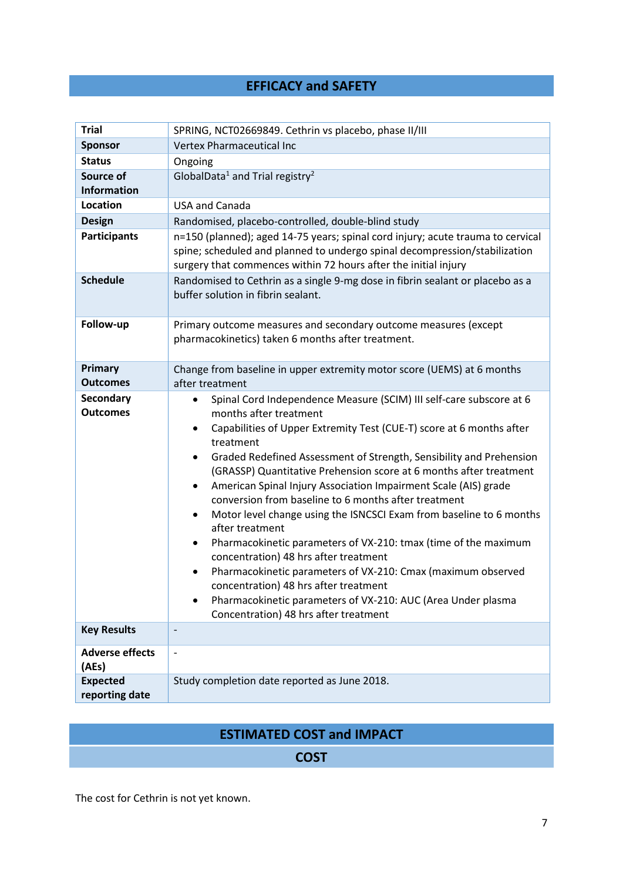# **EFFICACY and SAFETY**

| <b>Trial</b>                        | SPRING, NCT02669849. Cethrin vs placebo, phase II/III                                                                                                                                                                                                                                                                                                                                                                                                                                                                                                                                                                                                                                                                                                                                                                                                                                                                                       |  |
|-------------------------------------|---------------------------------------------------------------------------------------------------------------------------------------------------------------------------------------------------------------------------------------------------------------------------------------------------------------------------------------------------------------------------------------------------------------------------------------------------------------------------------------------------------------------------------------------------------------------------------------------------------------------------------------------------------------------------------------------------------------------------------------------------------------------------------------------------------------------------------------------------------------------------------------------------------------------------------------------|--|
| <b>Sponsor</b>                      | Vertex Pharmaceutical Inc                                                                                                                                                                                                                                                                                                                                                                                                                                                                                                                                                                                                                                                                                                                                                                                                                                                                                                                   |  |
| <b>Status</b>                       | Ongoing                                                                                                                                                                                                                                                                                                                                                                                                                                                                                                                                                                                                                                                                                                                                                                                                                                                                                                                                     |  |
| Source of<br><b>Information</b>     | GlobalData <sup>1</sup> and Trial registry <sup>2</sup>                                                                                                                                                                                                                                                                                                                                                                                                                                                                                                                                                                                                                                                                                                                                                                                                                                                                                     |  |
| Location                            | <b>USA and Canada</b>                                                                                                                                                                                                                                                                                                                                                                                                                                                                                                                                                                                                                                                                                                                                                                                                                                                                                                                       |  |
| <b>Design</b>                       | Randomised, placebo-controlled, double-blind study                                                                                                                                                                                                                                                                                                                                                                                                                                                                                                                                                                                                                                                                                                                                                                                                                                                                                          |  |
| <b>Participants</b>                 | n=150 (planned); aged 14-75 years; spinal cord injury; acute trauma to cervical<br>spine; scheduled and planned to undergo spinal decompression/stabilization<br>surgery that commences within 72 hours after the initial injury                                                                                                                                                                                                                                                                                                                                                                                                                                                                                                                                                                                                                                                                                                            |  |
| <b>Schedule</b>                     | Randomised to Cethrin as a single 9-mg dose in fibrin sealant or placebo as a<br>buffer solution in fibrin sealant.                                                                                                                                                                                                                                                                                                                                                                                                                                                                                                                                                                                                                                                                                                                                                                                                                         |  |
| Follow-up                           | Primary outcome measures and secondary outcome measures (except<br>pharmacokinetics) taken 6 months after treatment.                                                                                                                                                                                                                                                                                                                                                                                                                                                                                                                                                                                                                                                                                                                                                                                                                        |  |
| Primary<br><b>Outcomes</b>          | Change from baseline in upper extremity motor score (UEMS) at 6 months<br>after treatment                                                                                                                                                                                                                                                                                                                                                                                                                                                                                                                                                                                                                                                                                                                                                                                                                                                   |  |
| <b>Secondary</b><br><b>Outcomes</b> | Spinal Cord Independence Measure (SCIM) III self-care subscore at 6<br>months after treatment<br>Capabilities of Upper Extremity Test (CUE-T) score at 6 months after<br>treatment<br>Graded Redefined Assessment of Strength, Sensibility and Prehension<br>$\bullet$<br>(GRASSP) Quantitative Prehension score at 6 months after treatment<br>American Spinal Injury Association Impairment Scale (AIS) grade<br>٠<br>conversion from baseline to 6 months after treatment<br>Motor level change using the ISNCSCI Exam from baseline to 6 months<br>$\bullet$<br>after treatment<br>Pharmacokinetic parameters of VX-210: tmax (time of the maximum<br>$\bullet$<br>concentration) 48 hrs after treatment<br>Pharmacokinetic parameters of VX-210: Cmax (maximum observed<br>$\bullet$<br>concentration) 48 hrs after treatment<br>Pharmacokinetic parameters of VX-210: AUC (Area Under plasma<br>Concentration) 48 hrs after treatment |  |
| <b>Key Results</b>                  |                                                                                                                                                                                                                                                                                                                                                                                                                                                                                                                                                                                                                                                                                                                                                                                                                                                                                                                                             |  |
| <b>Adverse effects</b><br>(AEs)     | $\overline{\phantom{a}}$                                                                                                                                                                                                                                                                                                                                                                                                                                                                                                                                                                                                                                                                                                                                                                                                                                                                                                                    |  |
| <b>Expected</b><br>reporting date   | Study completion date reported as June 2018.                                                                                                                                                                                                                                                                                                                                                                                                                                                                                                                                                                                                                                                                                                                                                                                                                                                                                                |  |

# **ESTIMATED COST and IMPACT**

# **COST**

The cost for Cethrin is not yet known.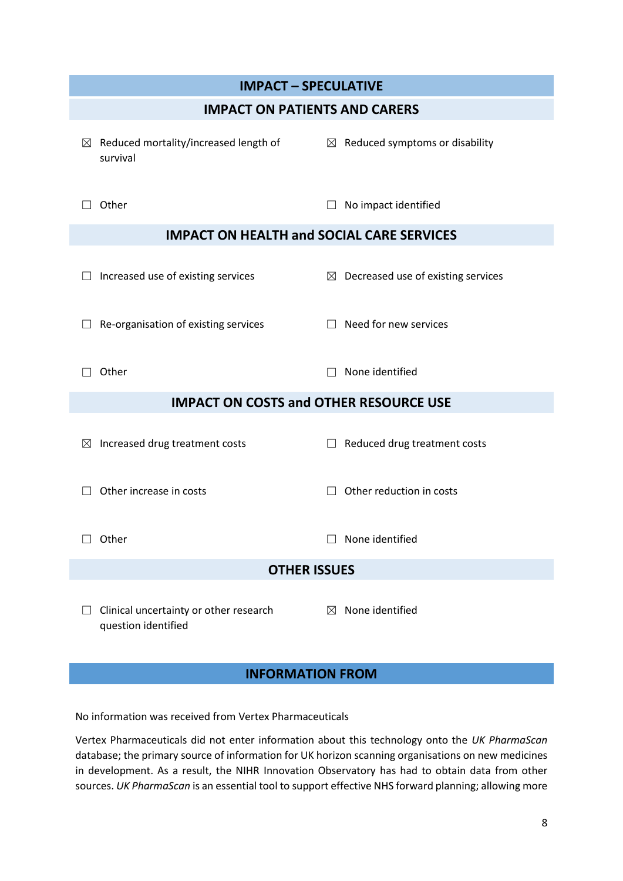| <b>IMPACT - SPECULATIVE</b>                                   |                                                |  |  |
|---------------------------------------------------------------|------------------------------------------------|--|--|
| <b>IMPACT ON PATIENTS AND CARERS</b>                          |                                                |  |  |
| $\boxtimes$ Reduced mortality/increased length of<br>survival | $\boxtimes$ Reduced symptoms or disability     |  |  |
| Other                                                         | No impact identified                           |  |  |
| <b>IMPACT ON HEALTH and SOCIAL CARE SERVICES</b>              |                                                |  |  |
| Increased use of existing services                            | $\boxtimes$ Decreased use of existing services |  |  |
| Re-organisation of existing services                          | Need for new services                          |  |  |
| Other                                                         | None identified                                |  |  |
| <b>IMPACT ON COSTS and OTHER RESOURCE USE</b>                 |                                                |  |  |
| Increased drug treatment costs<br>⊠                           | Reduced drug treatment costs<br>$\Box$         |  |  |
| Other increase in costs                                       | Other reduction in costs                       |  |  |
| $\Box$ Other                                                  | $\Box$ None identified                         |  |  |
| <b>OTHER ISSUES</b>                                           |                                                |  |  |
| Clinical uncertainty or other research<br>question identified | None identified<br>$\boxtimes$                 |  |  |

# **INFORMATION FROM**

No information was received from Vertex Pharmaceuticals

Vertex Pharmaceuticals did not enter information about this technology onto the *UK PharmaScan* database; the primary source of information for UK horizon scanning organisations on new medicines in development. As a result, the NIHR Innovation Observatory has had to obtain data from other sources. *UK PharmaScan* is an essential tool to support effective NHS forward planning; allowing more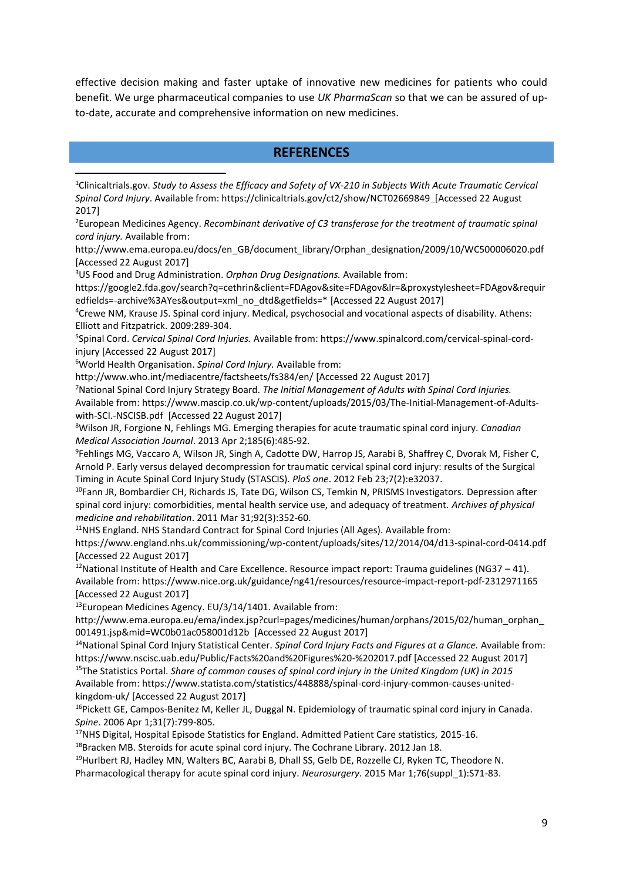effective decision making and faster uptake of innovative new medicines for patients who could benefit. We urge pharmaceutical companies to use *UK PharmaScan* so that we can be assured of upto-date, accurate and comprehensive information on new medicines.

#### **REFERENCES**

<sup>1</sup>Clinicaltrials.gov. *Study to Assess the Efficacy and Safety of VX-210 in Subjects With Acute Traumatic Cervical Spinal Cord Injury*. Available from: https://clinicaltrials.gov/ct2/show/NCT02669849 [Accessed 22 August 2017]

<sup>2</sup>European Medicines Agency. *Recombinant derivative of C3 transferase for the treatment of traumatic spinal cord injury.* Available from:

http://www.ema.europa.eu/docs/en\_GB/document\_library/Orphan\_designation/2009/10/WC500006020.pdf [Accessed 22 August 2017]

<sup>3</sup>US Food and Drug Administration. *Orphan Drug Designations.* Available from:

https://google2.fda.gov/search?q=cethrin&client=FDAgov&site=FDAgov&lr=&proxystylesheet=FDAgov&requir edfields=-archive%3AYes&output=xml\_no\_dtd&getfields=\* [Accessed 22 August 2017]

<sup>4</sup>Crewe NM, Krause JS. Spinal cord injury. Medical, psychosocial and vocational aspects of disability. Athens: Elliott and Fitzpatrick. 2009:289-304.

5 Spinal Cord. *Cervical Spinal Cord Injuries.* Available from: https://www.spinalcord.com/cervical-spinal-cordinjury [Accessed 22 August 2017]

<sup>6</sup>World Health Organisation. *Spinal Cord Injury.* Available from:

 $\overline{a}$ 

http://www.who.int/mediacentre/factsheets/fs384/en/ [Accessed 22 August 2017]

<sup>7</sup>National Spinal Cord Injury Strategy Board. *The Initial Management of Adults with Spinal Cord Injuries.* 

Available from: https://www.mascip.co.uk/wp-content/uploads/2015/03/The-Initial-Management-of-Adultswith-SCI.-NSCISB.pdf [Accessed 22 August 2017]

<sup>8</sup>Wilson JR, Forgione N, Fehlings MG. Emerging therapies for acute traumatic spinal cord injury. *Canadian Medical Association Journal*. 2013 Apr 2;185(6):485-92.

9 Fehlings MG, Vaccaro A, Wilson JR, Singh A, Cadotte DW, Harrop JS, Aarabi B, Shaffrey C, Dvorak M, Fisher C, Arnold P. Early versus delayed decompression for traumatic cervical spinal cord injury: results of the Surgical Timing in Acute Spinal Cord Injury Study (STASCIS). *PloS one*. 2012 Feb 23;7(2):e32037.

<sup>10</sup>Fann JR, Bombardier CH, Richards JS, Tate DG, Wilson CS, Temkin N, PRISMS Investigators. Depression after spinal cord injury: comorbidities, mental health service use, and adequacy of treatment. *Archives of physical medicine and rehabilitation*. 2011 Mar 31;92(3):352-60.

<sup>11</sup>NHS England. NHS Standard Contract for Spinal Cord Injuries (All Ages). Available from:

https://www.england.nhs.uk/commissioning/wp-content/uploads/sites/12/2014/04/d13-spinal-cord-0414.pdf [Accessed 22 August 2017]

<sup>12</sup>National Institute of Health and Care Excellence. Resource impact report: Trauma guidelines (NG37 – 41). Available from: https://www.nice.org.uk/guidance/ng41/resources/resource-impact-report-pdf-2312971165 [Accessed 22 August 2017]

<sup>13</sup>European Medicines Agency. EU/3/14/1401. Available from:

http://www.ema.europa.eu/ema/index.jsp?curl=pages/medicines/human/orphans/2015/02/human\_orphan\_ 001491.jsp&mid=WC0b01ac058001d12b [Accessed 22 August 2017]

<sup>14</sup>National Spinal Cord Injury Statistical Center. *Spinal Cord Injury Facts and Figures at a Glance.* Available from: https://www.nscisc.uab.edu/Public/Facts%20and%20Figures%20-%202017.pdf [Accessed 22 August 2017] <sup>15</sup>The Statistics Portal. *Share of common causes of spinal cord injury in the United Kingdom (UK) in 2015*  Available from: https://www.statista.com/statistics/448888/spinal-cord-injury-common-causes-united-

kingdom-uk/ [Accessed 22 August 2017]

<sup>16</sup>Pickett GE, Campos-Benitez M, Keller JL, Duggal N. Epidemiology of traumatic spinal cord injury in Canada. *Spine*. 2006 Apr 1;31(7):799-805.

<sup>17</sup>NHS Digital, Hospital Episode Statistics for England. Admitted Patient Care statistics, 2015-16. <sup>18</sup>Bracken MB. Steroids for acute spinal cord injury. The Cochrane Library. 2012 Jan 18.

<sup>19</sup>Hurlbert RJ, Hadley MN, Walters BC, Aarabi B, Dhall SS, Gelb DE, Rozzelle CJ, Ryken TC, Theodore N. Pharmacological therapy for acute spinal cord injury. *Neurosurgery*. 2015 Mar 1;76(suppl\_1):S71-83.